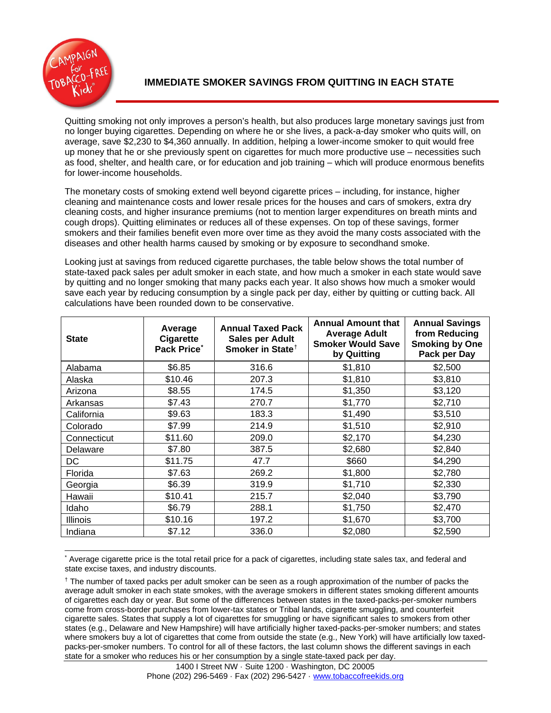

Quitting smoking not only improves a person's health, but also produces large monetary savings just from no longer buying cigarettes. Depending on where he or she lives, a pack-a-day smoker who quits will, on average, save \$2,230 to \$4,360 annually. In addition, helping a lower-income smoker to quit would free up money that he or she previously spent on cigarettes for much more productive use – necessities such as food, shelter, and health care, or for education and job training – which will produce enormous benefits for lower-income households.

The monetary costs of smoking extend well beyond cigarette prices – including, for instance, higher cleaning and maintenance costs and lower resale prices for the houses and cars of smokers, extra dry cleaning costs, and higher insurance premiums (not to mention larger expenditures on breath mints and cough drops). Quitting eliminates or reduces all of these expenses. On top of these savings, former smokers and their families benefit even more over time as they avoid the many costs associated with the diseases and other health harms caused by smoking or by exposure to secondhand smoke.

Looking just at savings from reduced cigarette purchases, the table below shows the total number of state-taxed pack sales per adult smoker in each state, and how much a smoker in each state would save by quitting and no longer smoking that many packs each year. It also shows how much a smoker would save each year by reducing consumption by a single pack per day, either by quitting or cutting back. All calculations have been rounded down to be conservative.

| <b>State</b>    | Average<br><b>Cigarette</b><br>Pack Price* | <b>Annual Taxed Pack</b><br><b>Sales per Adult</b><br>Smoker in State <sup>†</sup> | <b>Annual Amount that</b><br><b>Average Adult</b><br><b>Smoker Would Save</b><br>by Quitting | <b>Annual Savings</b><br>from Reducing<br><b>Smoking by One</b><br>Pack per Day |
|-----------------|--------------------------------------------|------------------------------------------------------------------------------------|----------------------------------------------------------------------------------------------|---------------------------------------------------------------------------------|
| Alabama         | \$6.85                                     | 316.6                                                                              | \$1,810                                                                                      | \$2,500                                                                         |
| Alaska          | \$10.46                                    | 207.3                                                                              | \$1,810                                                                                      | \$3,810                                                                         |
| Arizona         | \$8.55                                     | 174.5                                                                              | \$1,350                                                                                      | \$3,120                                                                         |
| Arkansas        | \$7.43                                     | 270.7                                                                              | \$1,770                                                                                      | \$2,710                                                                         |
| California      | \$9.63                                     | 183.3                                                                              | \$1,490                                                                                      | \$3,510                                                                         |
| Colorado        | \$7.99                                     | 214.9                                                                              | \$1,510                                                                                      | \$2,910                                                                         |
| Connecticut     | \$11.60                                    | 209.0                                                                              | \$2,170                                                                                      | \$4,230                                                                         |
| Delaware        | \$7.80                                     | 387.5                                                                              | \$2,680                                                                                      | \$2,840                                                                         |
| DC              | \$11.75                                    | 47.7                                                                               | \$660                                                                                        | \$4,290                                                                         |
| Florida         | \$7.63                                     | 269.2                                                                              | \$1,800                                                                                      | \$2,780                                                                         |
| Georgia         | \$6.39                                     | 319.9                                                                              | \$1,710                                                                                      | \$2,330                                                                         |
| Hawaii          | \$10.41                                    | 215.7                                                                              | \$2,040                                                                                      | \$3,790                                                                         |
| Idaho           | \$6.79                                     | 288.1                                                                              | \$1,750                                                                                      | \$2,470                                                                         |
| <b>Illinois</b> | \$10.16                                    | 197.2                                                                              | \$1,670                                                                                      | \$3,700                                                                         |
| Indiana         | \$7.12                                     | 336.0                                                                              | \$2,080                                                                                      | \$2,590                                                                         |

<span id="page-0-0"></span>Average cigarette price is the total retail price for a pack of cigarettes, including state sales tax, and federal and state excise taxes, and industry discounts.

<span id="page-0-1"></span>† The number of taxed packs per adult smoker can be seen as a rough approximation of the number of packs the average adult smoker in each state smokes, with the average smokers in different states smoking different amounts of cigarettes each day or year. But some of the differences between states in the taxed-packs-per-smoker numbers come from cross-border purchases from lower-tax states or Tribal lands, cigarette smuggling, and counterfeit cigarette sales. States that supply a lot of cigarettes for smuggling or have significant sales to smokers from other states (e.g., Delaware and New Hampshire) will have artificially higher taxed-packs-per-smoker numbers; and states where smokers buy a lot of cigarettes that come from outside the state (e.g., New York) will have artificially low taxedpacks-per-smoker numbers. To control for all of these factors, the last column shows the different savings in each state for a smoker who reduces his or her consumption by a single state-taxed pack per day.